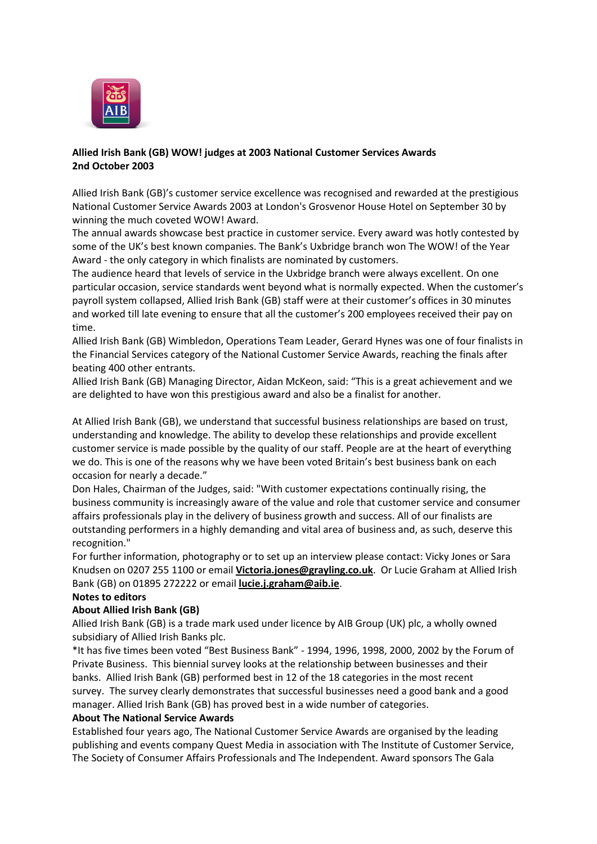

## **Allied Irish Bank (GB) WOW! judges at 2003 National Customer Services Awards 2nd October 2003**

Allied Irish Bank (GB)'s customer service excellence was recognised and rewarded at the prestigious National Customer Service Awards 2003 at London's Grosvenor House Hotel on September 30 by winning the much coveted WOW! Award.

The annual awards showcase best practice in customer service. Every award was hotly contested by some of the UK's best known companies. The Bank's Uxbridge branch won The WOW! of the Year Award - the only category in which finalists are nominated by customers.

The audience heard that levels of service in the Uxbridge branch were always excellent. On one particular occasion, service standards went beyond what is normally expected. When the customer's payroll system collapsed, Allied Irish Bank (GB) staff were at their customer's offices in 30 minutes and worked till late evening to ensure that all the customer's 200 employees received their pay on time.

Allied Irish Bank (GB) Wimbledon, Operations Team Leader, Gerard Hynes was one of four finalists in the Financial Services category of the National Customer Service Awards, reaching the finals after beating 400 other entrants.

Allied Irish Bank (GB) Managing Director, Aidan McKeon, said: "This is a great achievement and we are delighted to have won this prestigious award and also be a finalist for another.

At Allied Irish Bank (GB), we understand that successful business relationships are based on trust, understanding and knowledge. The ability to develop these relationships and provide excellent customer service is made possible by the quality of our staff. People are at the heart of everything we do. This is one of the reasons why we have been voted Britain's best business bank on each occasion for nearly a decade."

Don Hales, Chairman of the Judges, said: "With customer expectations continually rising, the business community is increasingly aware of the value and role that customer service and consumer affairs professionals play in the delivery of business growth and success. All of our finalists are outstanding performers in a highly demanding and vital area of business and, as such, deserve this recognition."

For further information, photography or to set up an interview please contact: Vicky Jones or Sara Knudsen on 0207 255 1100 or email **[Victoria.jones@grayling.co.uk](mailto:Victoria.jones@grayling.co.uk)**. Or Lucie Graham at Allied Irish Bank (GB) on 01895 272222 or email **[lucie.j.graham@aib.ie](mailto:lucie.j.graham@aib.ie)**.

## **Notes to editors**

## **About Allied Irish Bank (GB)**

Allied Irish Bank (GB) is a trade mark used under licence by AIB Group (UK) plc, a wholly owned subsidiary of Allied Irish Banks plc.

\*It has five times been voted "Best Business Bank" - 1994, 1996, 1998, 2000, 2002 by the Forum of Private Business. This biennial survey looks at the relationship between businesses and their banks. Allied Irish Bank (GB) performed best in 12 of the 18 categories in the most recent survey. The survey clearly demonstrates that successful businesses need a good bank and a good manager. Allied Irish Bank (GB) has proved best in a wide number of categories.

## **About The National Service Awards**

Established four years ago, The National Customer Service Awards are organised by the leading publishing and events company Quest Media in association with The Institute of Customer Service, The Society of Consumer Affairs Professionals and The Independent. Award sponsors The Gala